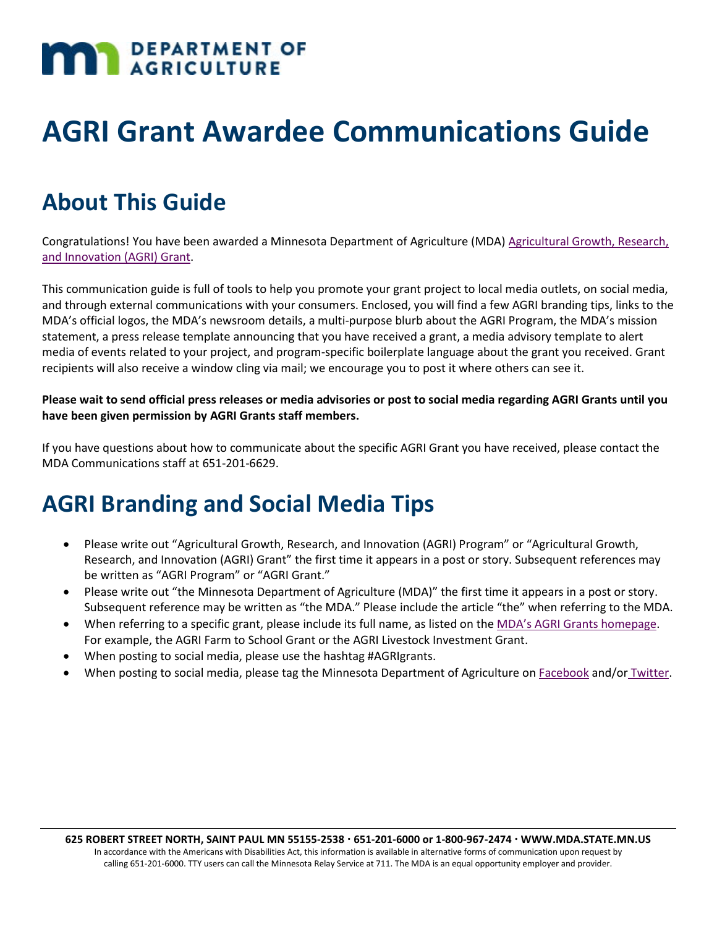# **MAN** DEPARTMENT OF

## **AGRI Grant Awardee Communications Guide**

### **About This Guide**

Congratulations! You have been awarded a Minnesota Department of Agriculture (MDA) Agricultural Growth, Research, [and Innovation \(AGRI\) Grant.](http://www.mda.state.mn.us/grants/agri)

This communication guide is full of tools to help you promote your grant project to local media outlets, on social media, and through external communications with your consumers. Enclosed, you will find a few AGRI branding tips, links to the MDA's official logos, the MDA's newsroom details, a multi-purpose blurb about the AGRI Program, the MDA's mission statement, a press release template announcing that you have received a grant, a media advisory template to alert media of events related to your project, and program-specific boilerplate language about the grant you received. Grant recipients will also receive a window cling via mail; we encourage you to post it where others can see it.

#### **Please wait to send official press releases or media advisories or post to social media regarding AGRI Grants until you have been given permission by AGRI Grants staff members.**

If you have questions about how to communicate about the specific AGRI Grant you have received, please contact the MDA Communications staff at 651-201-6629.

### **AGRI Branding and Social Media Tips**

- Please write out "Agricultural Growth, Research, and Innovation (AGRI) Program" or "Agricultural Growth, Research, and Innovation (AGRI) Grant" the first time it appears in a post or story. Subsequent references may be written as "AGRI Program" or "AGRI Grant."
- Please write out "the Minnesota Department of Agriculture (MDA)" the first time it appears in a post or story. Subsequent reference may be written as "the MDA." Please include the article "the" when referring to the MDA.
- When referring to a specific grant, please include its full name, as listed on the [MDA's AGRI Grants homepage.](http://www.mda.state.mn.us/grants/agri) For example, the AGRI Farm to School Grant or the AGRI Livestock Investment Grant.
- When posting to social media, please use the hashtag #AGRIgrants.
- When posting to social media, please tag the Minnesota Department of Agriculture on [Facebook](https://www.facebook.com/mnagriculture/) and/or [Twitter.](https://twitter.com/MNagriculture)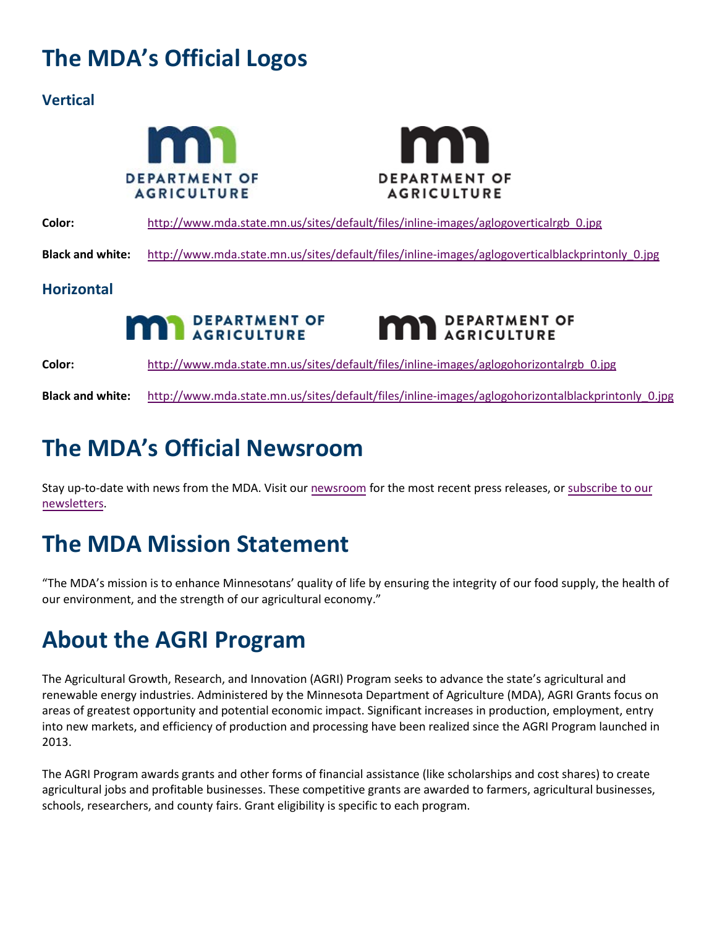### **The MDA's Official Logos**

### **Vertical**





**Color:** http://www.mda.state.mn.us/sites/default/files/inline-images/aglogoverticalrgb 0.jpg **Black and white:** [http://www.mda.state.mn.us/sites/default/files/inline-images/aglogoverticalblackprintonly\\_0.jpg](http://www.mda.state.mn.us/sites/default/files/inline-images/aglogoverticalblackprintonly_0.jpg)

### **Horizontal**





**Color:** [http://www.mda.state.mn.us/sites/default/files/inline-images/aglogohorizontalrgb\\_0.jpg](http://www.mda.state.mn.us/sites/default/files/inline-images/aglogohorizontalrgb_0.jpg)

**Black and white:** [http://www.mda.state.mn.us/sites/default/files/inline-images/aglogohorizontalblackprintonly\\_0.jpg](http://www.mda.state.mn.us/sites/default/files/inline-images/aglogohorizontalblackprintonly_0.jpg)

### **The MDA's Official Newsroom**

Stay up-to-date with news from the MDA. Visit our [newsroom](http://www.mda.state.mn.us/news) for the most recent press releases, or [subscribe to our](https://public.govdelivery.com/accounts/MNMDA/subscriber/new) [newsletters.](https://public.govdelivery.com/accounts/MNMDA/subscriber/new)

### **The MDA Mission Statement**

"The MDA's mission is to enhance Minnesotans' quality of life by ensuring the integrity of our food supply, the health of our environment, and the strength of our agricultural economy."

### **About the AGRI Program**

The Agricultural Growth, Research, and Innovation (AGRI) Program seeks to advance the state's agricultural and renewable energy industries. Administered by the Minnesota Department of Agriculture (MDA), AGRI Grants focus on areas of greatest opportunity and potential economic impact. Significant increases in production, employment, entry into new markets, and efficiency of production and processing have been realized since the AGRI Program launched in 2013.

The AGRI Program awards grants and other forms of financial assistance (like scholarships and cost shares) to create agricultural jobs and profitable businesses. These competitive grants are awarded to farmers, agricultural businesses, schools, researchers, and county fairs. Grant eligibility is specific to each program.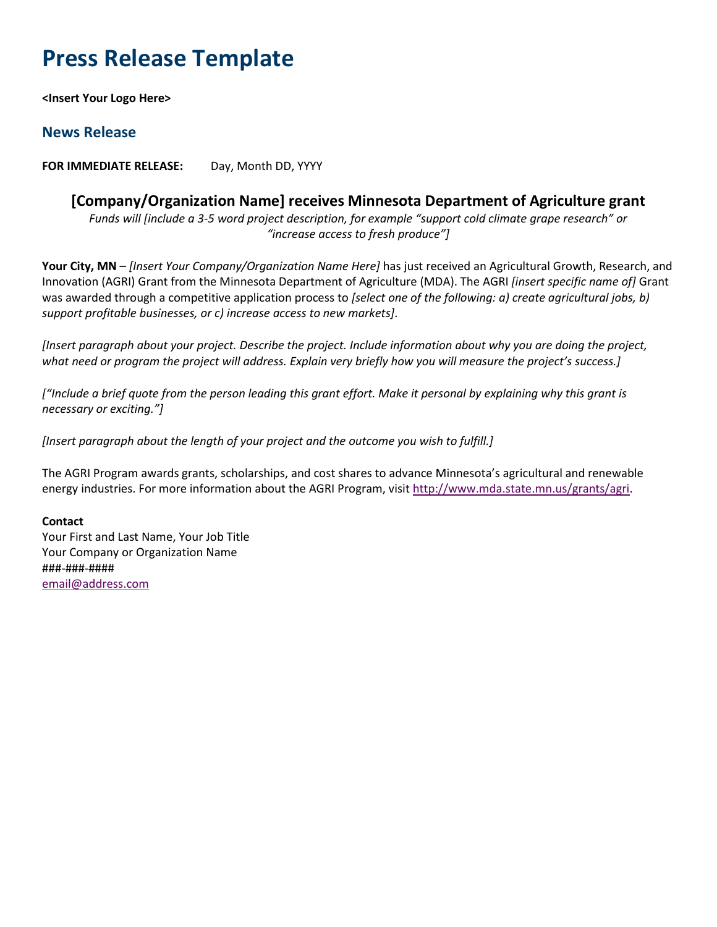### **Press Release Template**

**<Insert Your Logo Here>**

### **News Release**

**FOR IMMEDIATE RELEASE:** Day, Month DD, YYYY

### **[Company/Organization Name] receives Minnesota Department of Agriculture grant**

*Funds will [include a 3-5 word project description, for example "support cold climate grape research" or "increase access to fresh produce"]*

**Your City, MN** – *[Insert Your Company/Organization Name Here]* has just received an Agricultural Growth, Research, and Innovation (AGRI) Grant from the Minnesota Department of Agriculture (MDA). The AGRI *[insert specific name of]* Grant was awarded through a competitive application process to *[select one of the following: a) create agricultural jobs, b) support profitable businesses, or c) increase access to new markets]*.

*[Insert paragraph about your project. Describe the project. Include information about why you are doing the project, what need or program the project will address. Explain very briefly how you will measure the project's success.]*

*["Include a brief quote from the person leading this grant effort. Make it personal by explaining why this grant is necessary or exciting."]*

*[Insert paragraph about the length of your project and the outcome you wish to fulfill.]*

The AGRI Program awards grants, scholarships, and cost shares to advance Minnesota's agricultural and renewable energy industries. For more information about the AGRI Program, visi[t http://www.mda.state.mn.us/grants/agri.](http://www.mda.state.mn.us/grants/agri)

#### **Contact**

Your First and Last Name, Your Job Title Your Company or Organization Name ###-###-#### email@address.com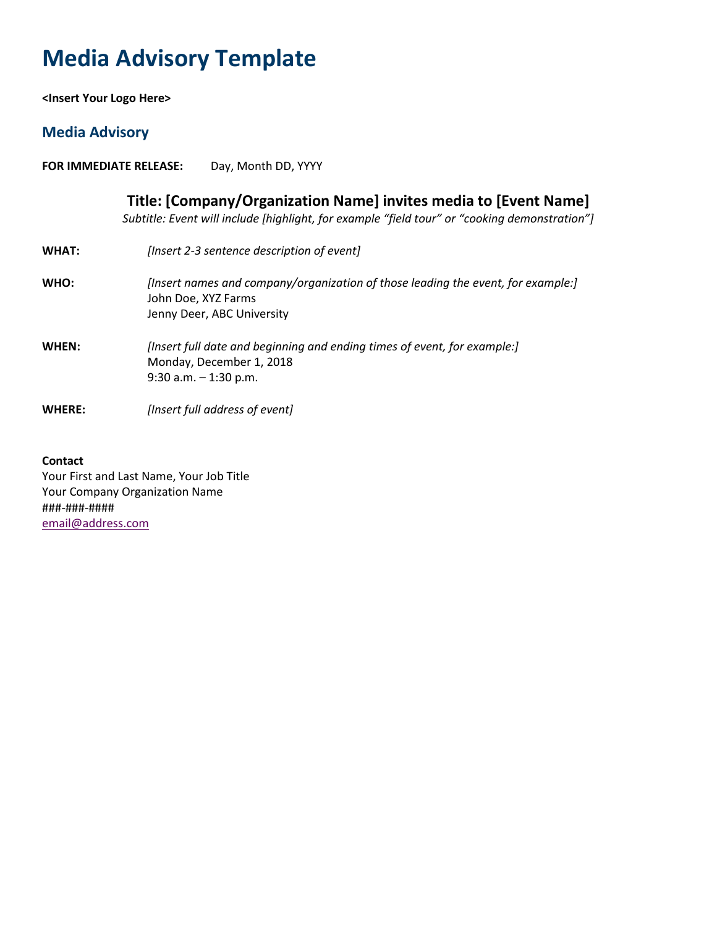### **Media Advisory Template**

**<Insert Your Logo Here>**

### **Media Advisory**

**FOR IMMEDIATE RELEASE:** Day, Month DD, YYYY

|               | Title: [Company/Organization Name] invites media to [Event Name]<br>Subtitle: Event will include [highlight, for example "field tour" or "cooking demonstration"] |
|---------------|-------------------------------------------------------------------------------------------------------------------------------------------------------------------|
| <b>WHAT:</b>  | [Insert 2-3 sentence description of event]                                                                                                                        |
| <b>WHO:</b>   | [Insert names and company/organization of those leading the event, for example:]<br>John Doe, XYZ Farms<br>Jenny Deer, ABC University                             |
| WHEN:         | [Insert full date and beginning and ending times of event, for example:]<br>Monday, December 1, 2018<br>$9:30$ a.m. $-1:30$ p.m.                                  |
| <b>WHERE:</b> | [Insert full address of event]                                                                                                                                    |
|               |                                                                                                                                                                   |

#### **Contact**

Your First and Last Name, Your Job Title Your Company Organization Name ###-###-#### email@address.com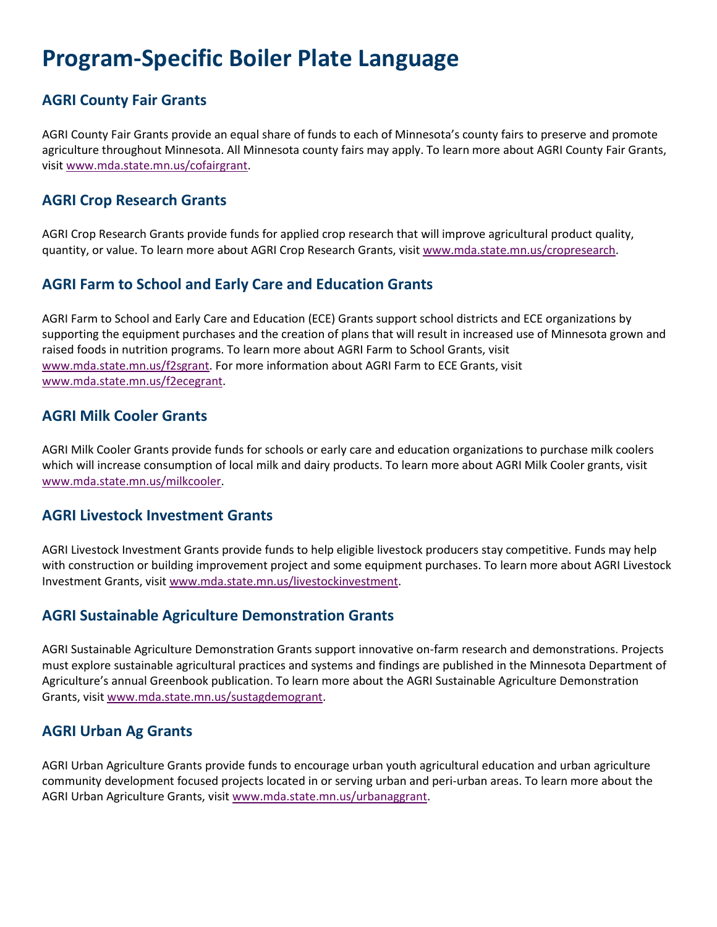### **Program-Specific Boiler Plate Language**

### **AGRI County Fair Grants**

AGRI County Fair Grants provide an equal share of funds to each of Minnesota's county fairs to preserve and promote agriculture throughout Minnesota. All Minnesota county fairs may apply. To learn more about AGRI County Fair Grants, visit [www.mda.state.mn.us/cofairgrant.](http://www.mda.state.mn.us/cofairgrant)

#### **AGRI Crop Research Grants**

AGRI Crop Research Grants provide funds for applied crop research that will improve agricultural product quality, quantity, or value. To learn more about AGRI Crop Research Grants, visit [www.mda.state.mn.us/cropresearch.](http://www.mda.state.mn.us/cropresearch)

### **AGRI Farm to School and Early Care and Education Grants**

AGRI Farm to School and Early Care and Education (ECE) Grants support school districts and ECE organizations by supporting the equipment purchases and the creation of plans that will result in increased use of Minnesota grown and raised foods in nutrition programs. To learn more about AGRI Farm to School Grants, visit [www.mda.state.mn.us/f2sgrant.](http://www.mda.state.mn.us/f2sgrant) For more information about AGRI Farm to ECE Grants, visit [www.mda.state.mn.us/f2ecegrant.](http://www.mda.state.mn.us/f2ecegrant)

#### **AGRI Milk Cooler Grants**

AGRI Milk Cooler Grants provide funds for schools or early care and education organizations to purchase milk coolers which will increase consumption of local milk and dairy products. To learn more about AGRI Milk Cooler grants, visit [www.mda.state.mn.us/milkcooler.](http://www.mda.state.mn.us/milkcooler)

### **AGRI Livestock Investment Grants**

AGRI Livestock Investment Grants provide funds to help eligible livestock producers stay competitive. Funds may help with construction or building improvement project and some equipment purchases. To learn more about AGRI Livestock Investment Grants, visit [www.mda.state.mn.us/livestockinvestment.](http://www.mda.state.mn.us/livestockinvestment)

### **AGRI Sustainable Agriculture Demonstration Grants**

AGRI Sustainable Agriculture Demonstration Grants support innovative on-farm research and demonstrations. Projects must explore sustainable agricultural practices and systems and findings are published in the Minnesota Department of Agriculture's annual Greenbook publication. To learn more about the AGRI Sustainable Agriculture Demonstration Grants, visi[t www.mda.state.mn.us/sustagdemogrant.](http://www.mda.state.mn.us/sustagdemogrant)

### **AGRI Urban Ag Grants**

AGRI Urban Agriculture Grants provide funds to encourage urban youth agricultural education and urban agriculture community development focused projects located in or serving urban and peri-urban areas. To learn more about the AGRI Urban Agriculture Grants, visit [www.mda.state.mn.us/urbanaggrant.](http://www.mda.state.mn.us/urbanaggrant)